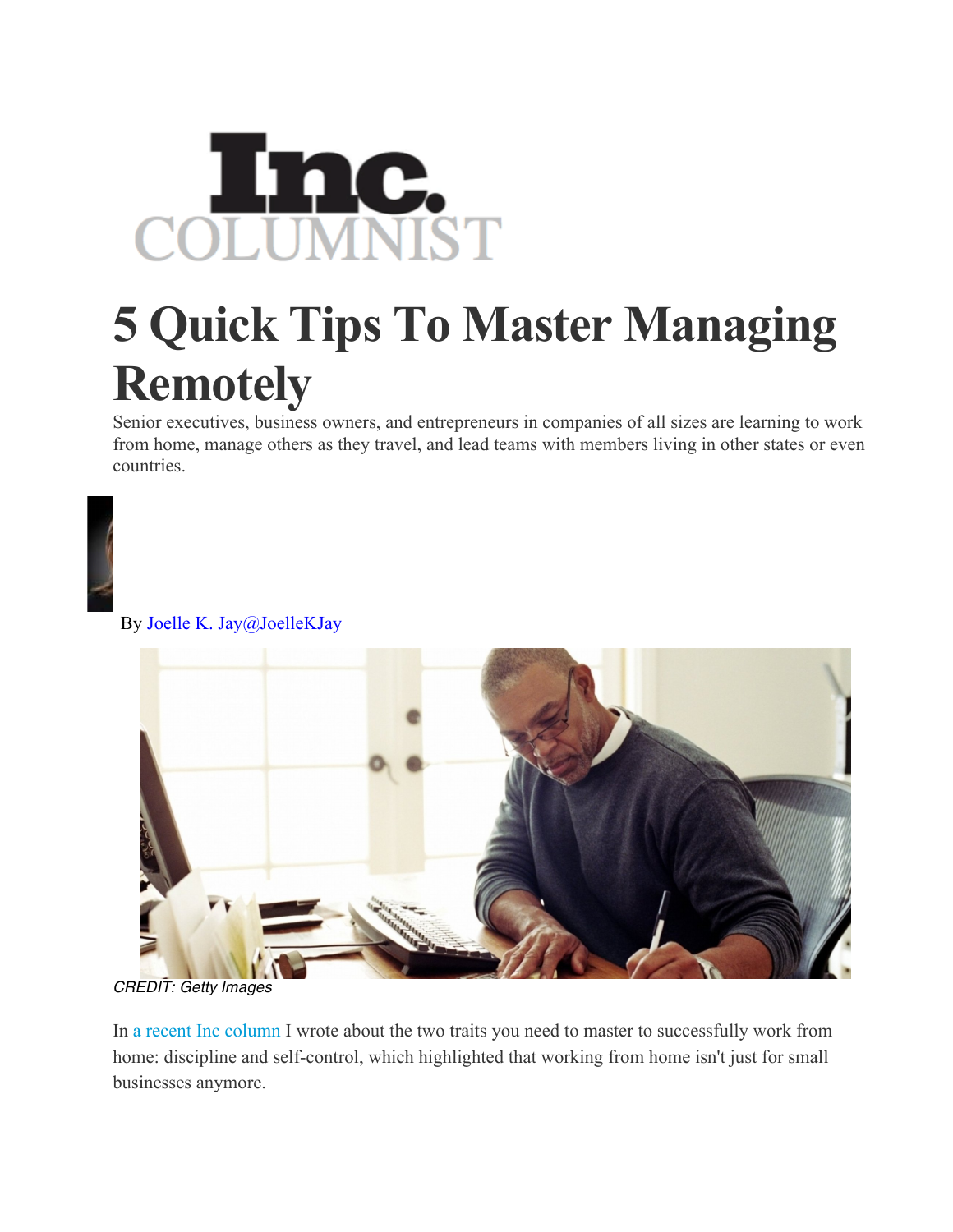## COLUMNIST

## **5 Quick Tips To Master Managing Remotely**

Senior executives, business owners, and entrepreneurs in companies of all sizes are learning to work from home, manage others as they travel, and lead teams with members living in other states or even countries.



## By Joelle K. Jay@JoelleKJay



*CREDIT: Getty Images*

In a recent Inc column I wrote about the two traits you need to master to successfully work from home: discipline and self-control, which highlighted that working from home isn't just for small businesses anymore.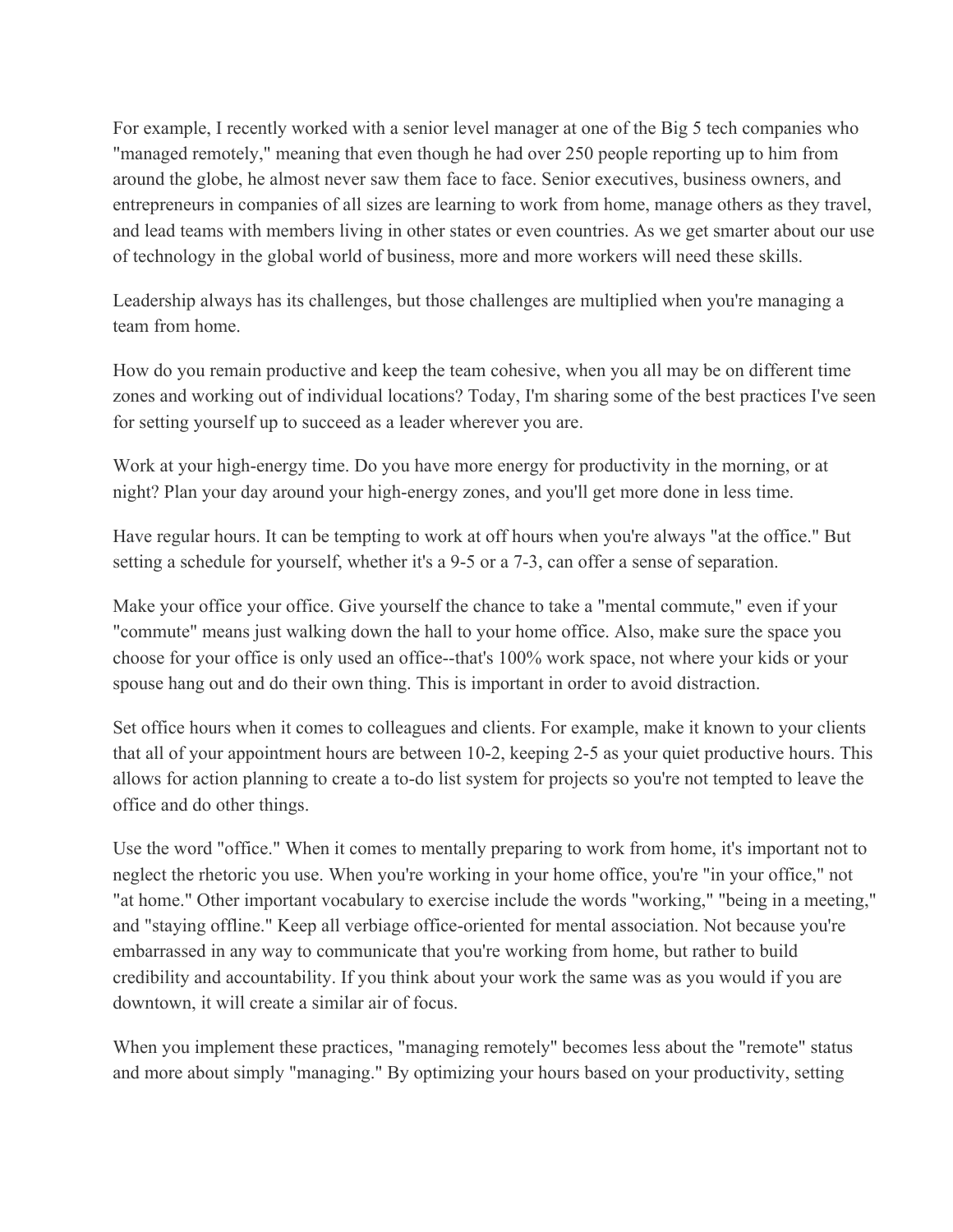For example, I recently worked with a senior level manager at one of the Big 5 tech companies who "managed remotely," meaning that even though he had over 250 people reporting up to him from around the globe, he almost never saw them face to face. Senior executives, business owners, and entrepreneurs in companies of all sizes are learning to work from home, manage others as they travel, and lead teams with members living in other states or even countries. As we get smarter about our use of technology in the global world of business, more and more workers will need these skills.

Leadership always has its challenges, but those challenges are multiplied when you're managing a team from home.

How do you remain productive and keep the team cohesive, when you all may be on different time zones and working out of individual locations? Today, I'm sharing some of the best practices I've seen for setting yourself up to succeed as a leader wherever you are.

Work at your high-energy time. Do you have more energy for productivity in the morning, or at night? Plan your day around your high-energy zones, and you'll get more done in less time.

Have regular hours. It can be tempting to work at off hours when you're always "at the office." But setting a schedule for yourself, whether it's a 9-5 or a 7-3, can offer a sense of separation.

Make your office your office. Give yourself the chance to take a "mental commute," even if your "commute" means just walking down the hall to your home office. Also, make sure the space you choose for your office is only used an office--that's 100% work space, not where your kids or your spouse hang out and do their own thing. This is important in order to avoid distraction.

Set office hours when it comes to colleagues and clients. For example, make it known to your clients that all of your appointment hours are between 10-2, keeping 2-5 as your quiet productive hours. This allows for action planning to create a to-do list system for projects so you're not tempted to leave the office and do other things.

Use the word "office." When it comes to mentally preparing to work from home, it's important not to neglect the rhetoric you use. When you're working in your home office, you're "in your office," not "at home." Other important vocabulary to exercise include the words "working," "being in a meeting," and "staying offline." Keep all verbiage office-oriented for mental association. Not because you're embarrassed in any way to communicate that you're working from home, but rather to build credibility and accountability. If you think about your work the same was as you would if you are downtown, it will create a similar air of focus.

When you implement these practices, "managing remotely" becomes less about the "remote" status and more about simply "managing." By optimizing your hours based on your productivity, setting